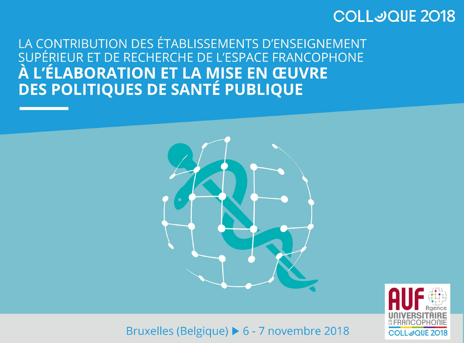### **COLLJOUE 2018**

LA CONTRIBUTION DES ÉTABLISSEMENTS D'ENSEIGNEMENT SUPÉRIEUR ET DE RECHERCHE DE L'ESPACE FRANCOPHONE À L'ÉLABORATION ET LA MISE EN ŒUVRE **DES POLITIQUES DE SANTÉ PUBLIQUE** 



Bruxelles (Belgique) > 6 - 7 novembre 2018

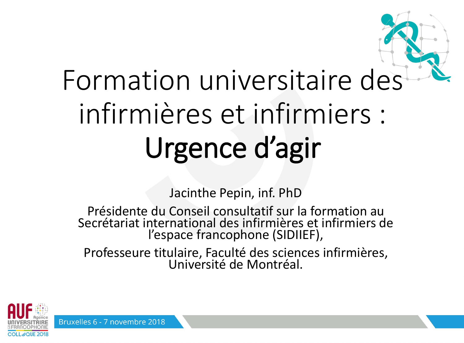Jacinthe Pepin, inf. PhD

Présidente du Conseil consultatif sur la formation au Secrétariat international des infirmières et infirmiers de l'espace francophone (SIDIIEF),

Professeure titulaire, Faculté des sciences infirmières, Université de Montréal.



Bruxelles 6 - 7 novembre 2018



# Formation universitaire des infirmières et infirmiers : Urgence d'agir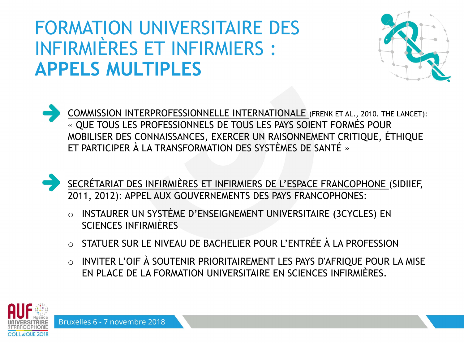## FORMATION UNIVERSITAIRE DES INFIRMIÈRES ET INFIRMIERS : **APPELS MULTIPLES**

COMMISSION INTERPROFESSIONNELLE INTERNATIONALE (FRENK ET AL., 2010. THE LANCET): « QUE TOUS LES PROFESSIONNELS DE TOUS LES PAYS SOIENT FORMÉS POUR MOBILISER DES CONNAISSANCES, EXERCER UN RAISONNEMENT CRITIQUE, ÉTHIQUE ET PARTICIPER À LA TRANSFORMATION DES SYSTÈMES DE SANTÉ »



- o INSTAURER UN SYSTÈME D'ENSEIGNEMENT UNIVERSITAIRE (3CYCLES) EN SCIENCES INFIRMIÈRES
- o STATUER SUR LE NIVEAU DE BACHELIER POUR L'ENTRÉE À LA PROFESSION
- o INVITER L'OIF À SOUTENIR PRIORITAIREMENT LES PAYS D'AFRIQUE POUR LA MISE EN PLACE DE LA FORMATION UNIVERSITAIRE EN SCIENCES INFIRMIÈRES.



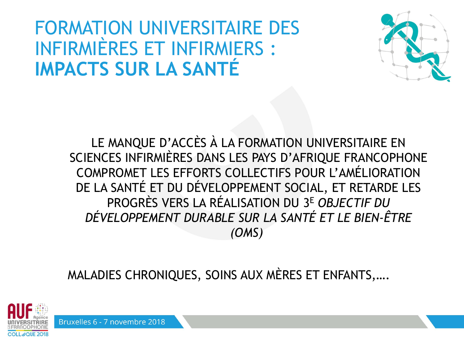### FORMATION UNIVERSITAIRE DES INFIRMIÈRES ET INFIRMIERS : **IMPACTS SUR LA SANTÉ**

LE MANQUE D'ACCÈS À LA FORMATION UNIVERSITAIRE EN SCIENCES INFIRMIÈRES DANS LES PAYS D'AFRIQUE FRANCOPHONE COMPROMET LES EFFORTS COLLECTIFS POUR L'AMÉLIORATION DE LA SANTÉ ET DU DÉVELOPPEMENT SOCIAL, ET RETARDE LES PROGRÈS VERS LA RÉALISATION DU 3 <sup>E</sup> *OBJECTIF DU DÉVELOPPEMENT DURABLE SUR LA SANTÉ ET LE BIEN-ÊTRE (OMS)*

MALADIES CHRONIQUES, SOINS AUX MÈRES ET ENFANTS,….





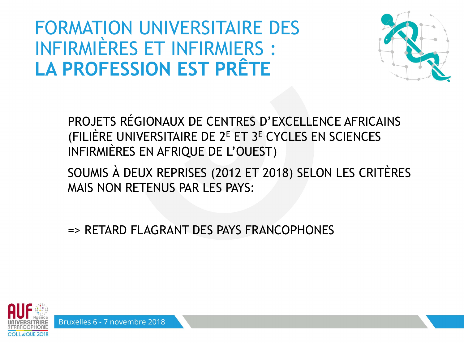## **FORMATION UNIVERSITAIRE DES** INFIRMIÈRES ET INFIRMIERS : LA PROFESSION EST PRÊTE

PROJETS RÉGIONAUX DE CENTRES D'EXCELLENCE AFRICAINS (FILIÈRE UNIVERSITAIRE DE 2<sup>E</sup> ET 3<sup>E</sup> CYCLES EN SCIENCES INFIRMIÈRES EN AFRIQUE DE L'OUEST)

SOUMIS À DEUX REPRISES (2012 ET 2018) SELON LES CRITÈRES MAIS NON RETENUS PAR LES PAYS:

=> RETARD FLAGRANT DES PAYS FRANCOPHONES